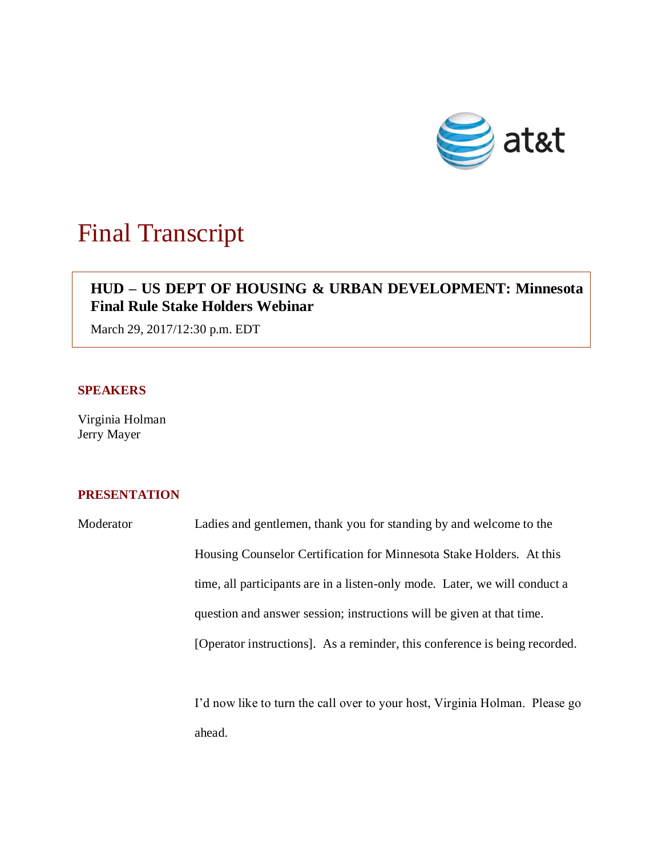

# Final Transcript

## **HUD – US DEPT OF HOUSING & URBAN DEVELOPMENT: Minnesota Final Rule Stake Holders Webinar**

March 29, 2017/12:30 p.m. EDT

## **SPEAKERS**

Virginia Holman Jerry Mayer

### **PRESENTATION**

Moderator Ladies and gentlemen, thank you for standing by and welcome to the Housing Counselor Certification for Minnesota Stake Holders. At this time, all participants are in a listen-only mode. Later, we will conduct a question and answer session; instructions will be given at that time. [Operator instructions]. As a reminder, this conference is being recorded.

> I'd now like to turn the call over to your host, Virginia Holman. Please go ahead.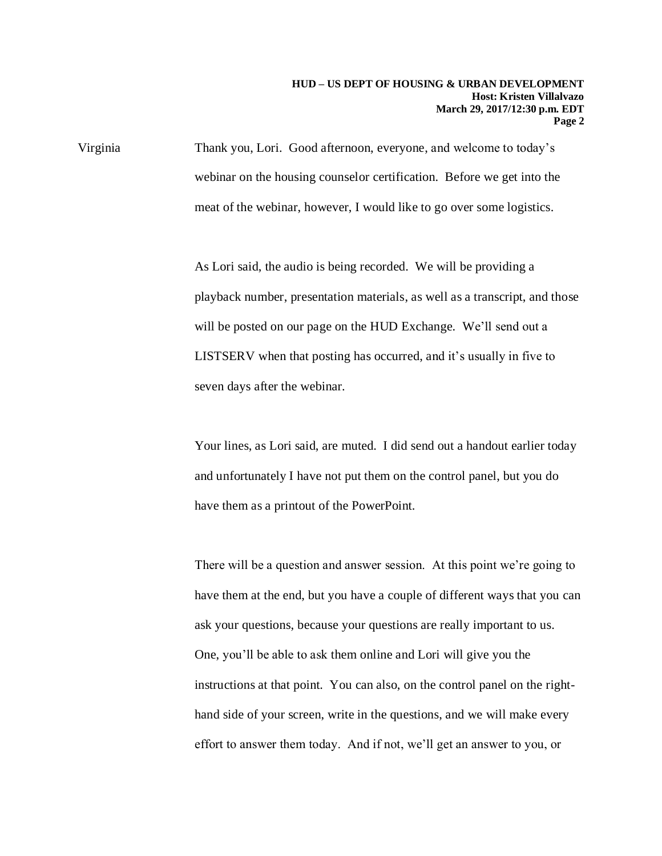Virginia Thank you, Lori. Good afternoon, everyone, and welcome to today's webinar on the housing counselor certification. Before we get into the meat of the webinar, however, I would like to go over some logistics.

> As Lori said, the audio is being recorded. We will be providing a playback number, presentation materials, as well as a transcript, and those will be posted on our page on the HUD Exchange. We'll send out a LISTSERV when that posting has occurred, and it's usually in five to seven days after the webinar.

> Your lines, as Lori said, are muted. I did send out a handout earlier today and unfortunately I have not put them on the control panel, but you do have them as a printout of the PowerPoint.

There will be a question and answer session. At this point we're going to have them at the end, but you have a couple of different ways that you can ask your questions, because your questions are really important to us. One, you'll be able to ask them online and Lori will give you the instructions at that point. You can also, on the control panel on the righthand side of your screen, write in the questions, and we will make every effort to answer them today. And if not, we'll get an answer to you, or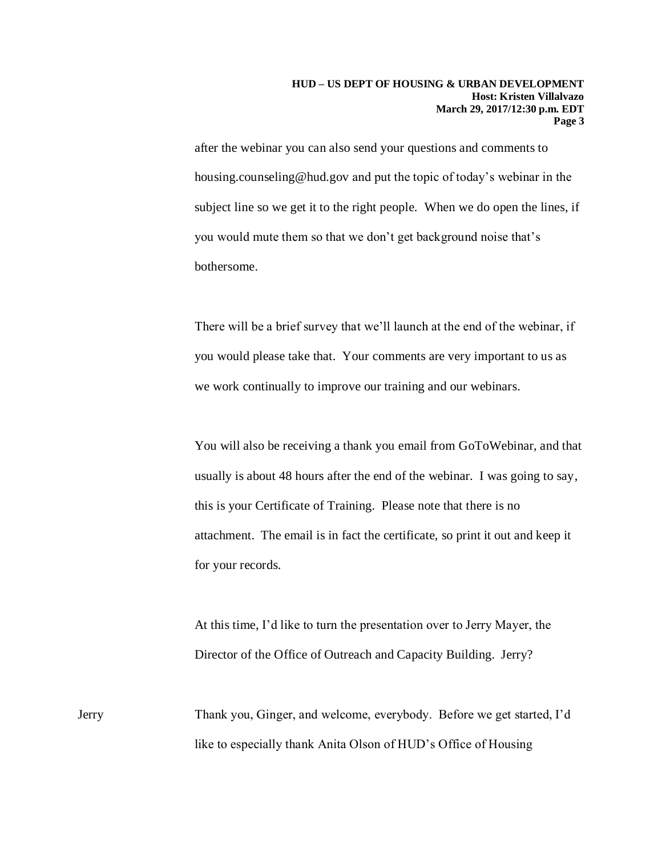after the webinar you can also send your questions and comments to housing.counseling@hud.gov and put the topic of today's webinar in the subject line so we get it to the right people. When we do open the lines, if you would mute them so that we don't get background noise that's bothersome.

There will be a brief survey that we'll launch at the end of the webinar, if you would please take that. Your comments are very important to us as we work continually to improve our training and our webinars.

You will also be receiving a thank you email from GoToWebinar, and that usually is about 48 hours after the end of the webinar. I was going to say, this is your Certificate of Training. Please note that there is no attachment. The email is in fact the certificate, so print it out and keep it for your records.

At this time, I'd like to turn the presentation over to Jerry Mayer, the Director of the Office of Outreach and Capacity Building. Jerry?

Jerry Thank you, Ginger, and welcome, everybody. Before we get started, I'd like to especially thank Anita Olson of HUD's Office of Housing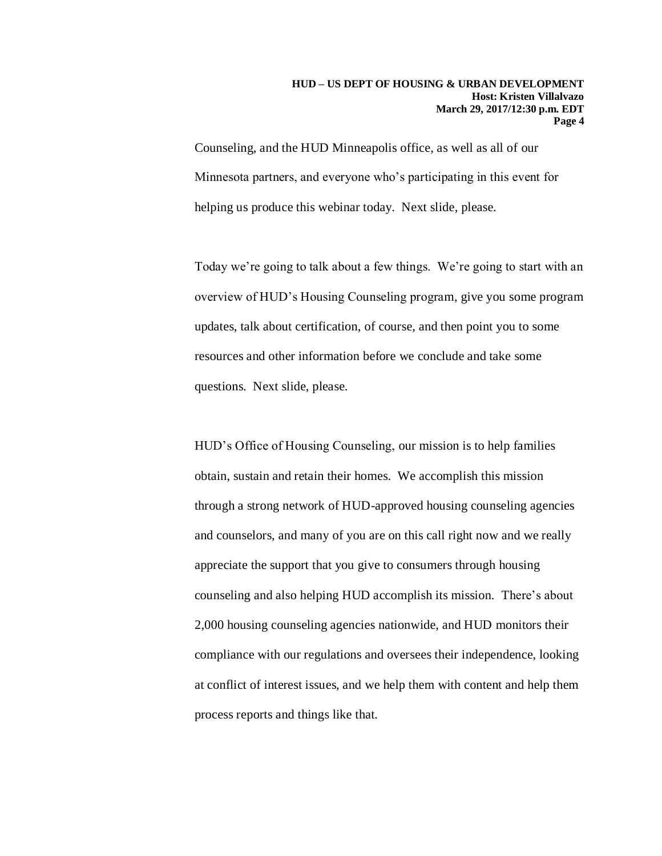Counseling, and the HUD Minneapolis office, as well as all of our Minnesota partners, and everyone who's participating in this event for helping us produce this webinar today. Next slide, please.

Today we're going to talk about a few things. We're going to start with an overview of HUD's Housing Counseling program, give you some program updates, talk about certification, of course, and then point you to some resources and other information before we conclude and take some questions. Next slide, please.

HUD's Office of Housing Counseling, our mission is to help families obtain, sustain and retain their homes. We accomplish this mission through a strong network of HUD-approved housing counseling agencies and counselors, and many of you are on this call right now and we really appreciate the support that you give to consumers through housing counseling and also helping HUD accomplish its mission. There's about 2,000 housing counseling agencies nationwide, and HUD monitors their compliance with our regulations and oversees their independence, looking at conflict of interest issues, and we help them with content and help them process reports and things like that.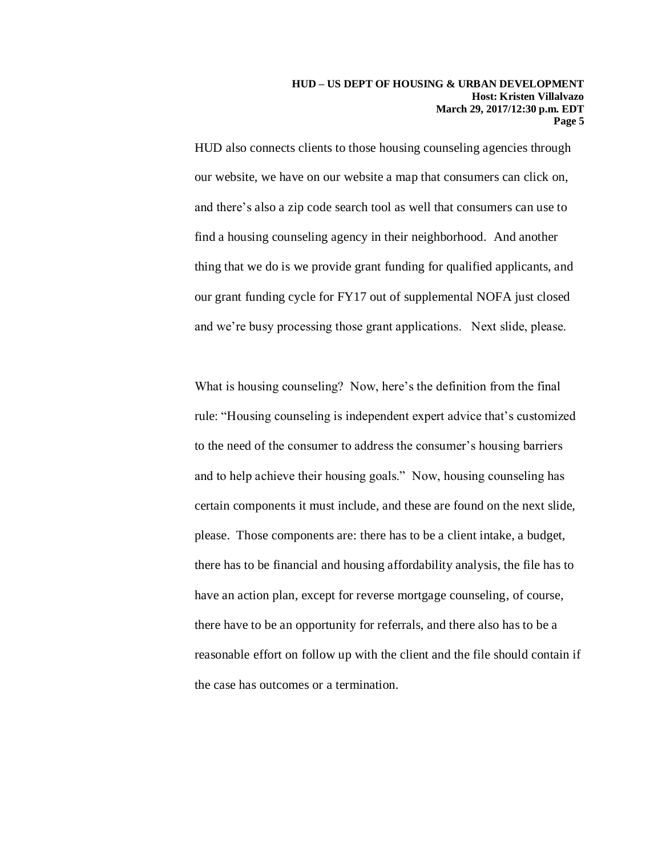HUD also connects clients to those housing counseling agencies through our website, we have on our website a map that consumers can click on, and there's also a zip code search tool as well that consumers can use to find a housing counseling agency in their neighborhood. And another thing that we do is we provide grant funding for qualified applicants, and our grant funding cycle for FY17 out of supplemental NOFA just closed and we're busy processing those grant applications. Next slide, please.

What is housing counseling? Now, here's the definition from the final rule: "Housing counseling is independent expert advice that's customized to the need of the consumer to address the consumer's housing barriers and to help achieve their housing goals." Now, housing counseling has certain components it must include, and these are found on the next slide, please. Those components are: there has to be a client intake, a budget, there has to be financial and housing affordability analysis, the file has to have an action plan, except for reverse mortgage counseling, of course, there have to be an opportunity for referrals, and there also has to be a reasonable effort on follow up with the client and the file should contain if the case has outcomes or a termination.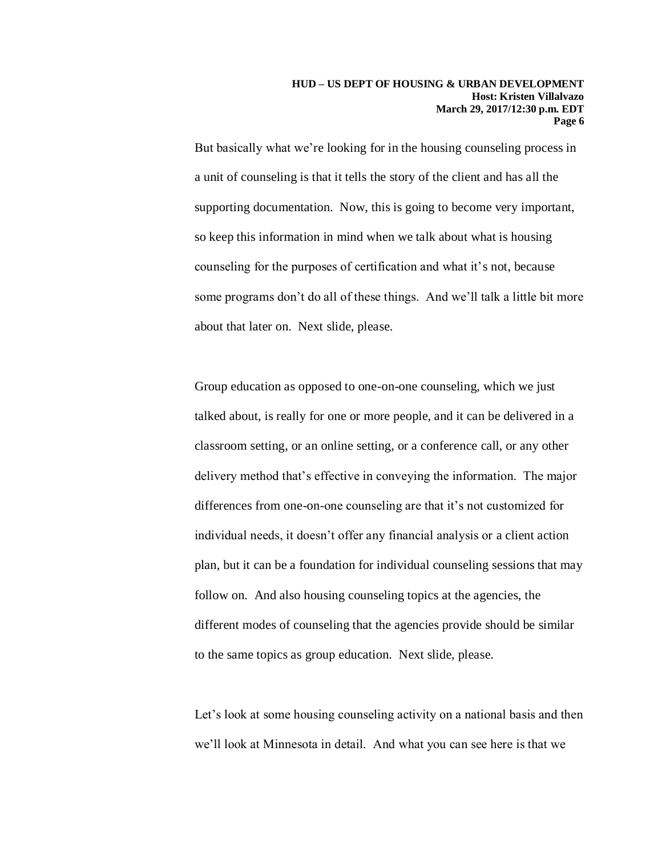But basically what we're looking for in the housing counseling process in a unit of counseling is that it tells the story of the client and has all the supporting documentation. Now, this is going to become very important, so keep this information in mind when we talk about what is housing counseling for the purposes of certification and what it's not, because some programs don't do all of these things. And we'll talk a little bit more about that later on. Next slide, please.

Group education as opposed to one-on-one counseling, which we just talked about, is really for one or more people, and it can be delivered in a classroom setting, or an online setting, or a conference call, or any other delivery method that's effective in conveying the information. The major differences from one-on-one counseling are that it's not customized for individual needs, it doesn't offer any financial analysis or a client action plan, but it can be a foundation for individual counseling sessions that may follow on. And also housing counseling topics at the agencies, the different modes of counseling that the agencies provide should be similar to the same topics as group education. Next slide, please.

Let's look at some housing counseling activity on a national basis and then we'll look at Minnesota in detail. And what you can see here is that we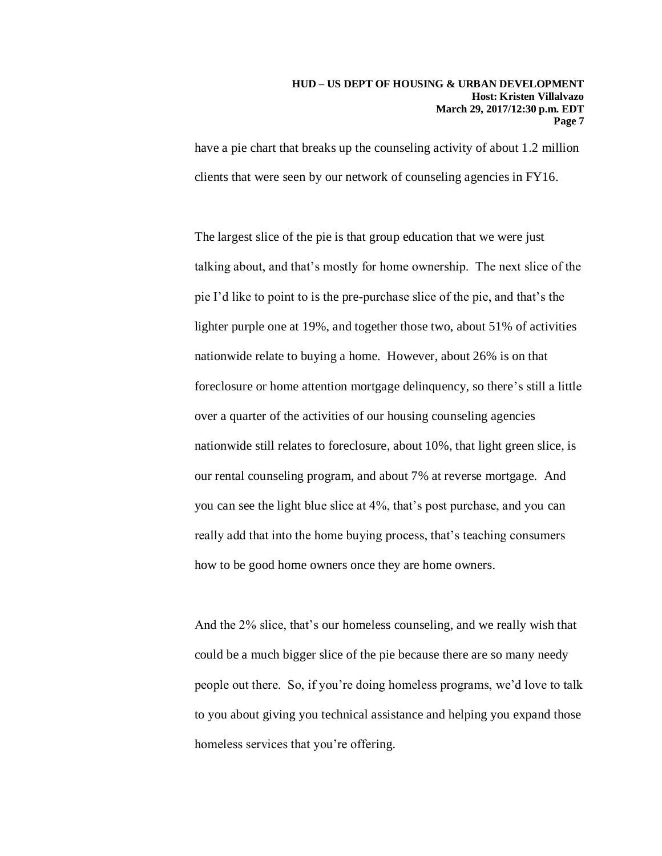have a pie chart that breaks up the counseling activity of about 1.2 million clients that were seen by our network of counseling agencies in FY16.

The largest slice of the pie is that group education that we were just talking about, and that's mostly for home ownership. The next slice of the pie I'd like to point to is the pre-purchase slice of the pie, and that's the lighter purple one at 19%, and together those two, about 51% of activities nationwide relate to buying a home. However, about 26% is on that foreclosure or home attention mortgage delinquency, so there's still a little over a quarter of the activities of our housing counseling agencies nationwide still relates to foreclosure, about 10%, that light green slice, is our rental counseling program, and about 7% at reverse mortgage. And you can see the light blue slice at 4%, that's post purchase, and you can really add that into the home buying process, that's teaching consumers how to be good home owners once they are home owners.

And the 2% slice, that's our homeless counseling, and we really wish that could be a much bigger slice of the pie because there are so many needy people out there. So, if you're doing homeless programs, we'd love to talk to you about giving you technical assistance and helping you expand those homeless services that you're offering.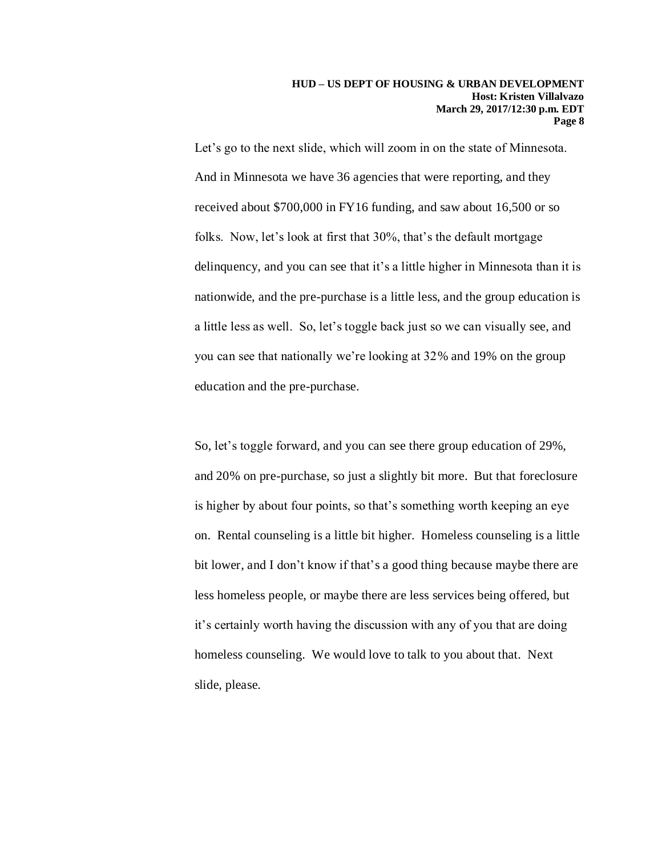Let's go to the next slide, which will zoom in on the state of Minnesota. And in Minnesota we have 36 agencies that were reporting, and they received about \$700,000 in FY16 funding, and saw about 16,500 or so folks. Now, let's look at first that 30%, that's the default mortgage delinquency, and you can see that it's a little higher in Minnesota than it is nationwide, and the pre-purchase is a little less, and the group education is a little less as well. So, let's toggle back just so we can visually see, and you can see that nationally we're looking at 32% and 19% on the group education and the pre-purchase.

So, let's toggle forward, and you can see there group education of 29%, and 20% on pre-purchase, so just a slightly bit more. But that foreclosure is higher by about four points, so that's something worth keeping an eye on. Rental counseling is a little bit higher. Homeless counseling is a little bit lower, and I don't know if that's a good thing because maybe there are less homeless people, or maybe there are less services being offered, but it's certainly worth having the discussion with any of you that are doing homeless counseling. We would love to talk to you about that. Next slide, please.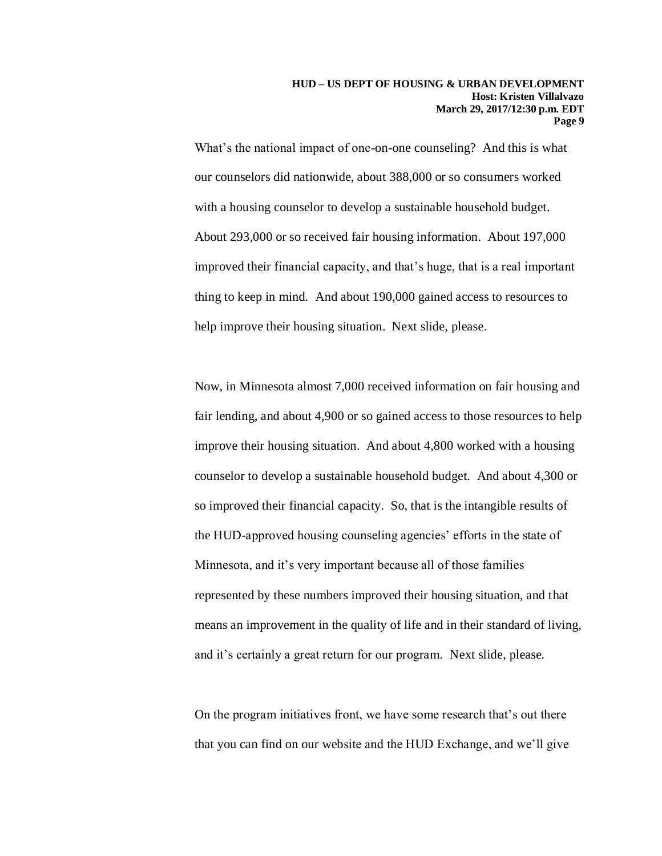What's the national impact of one-on-one counseling? And this is what our counselors did nationwide, about 388,000 or so consumers worked with a housing counselor to develop a sustainable household budget. About 293,000 or so received fair housing information. About 197,000 improved their financial capacity, and that's huge, that is a real important thing to keep in mind. And about 190,000 gained access to resources to help improve their housing situation. Next slide, please.

Now, in Minnesota almost 7,000 received information on fair housing and fair lending, and about 4,900 or so gained access to those resources to help improve their housing situation. And about 4,800 worked with a housing counselor to develop a sustainable household budget. And about 4,300 or so improved their financial capacity. So, that is the intangible results of the HUD-approved housing counseling agencies' efforts in the state of Minnesota, and it's very important because all of those families represented by these numbers improved their housing situation, and that means an improvement in the quality of life and in their standard of living, and it's certainly a great return for our program. Next slide, please.

On the program initiatives front, we have some research that's out there that you can find on our website and the HUD Exchange, and we'll give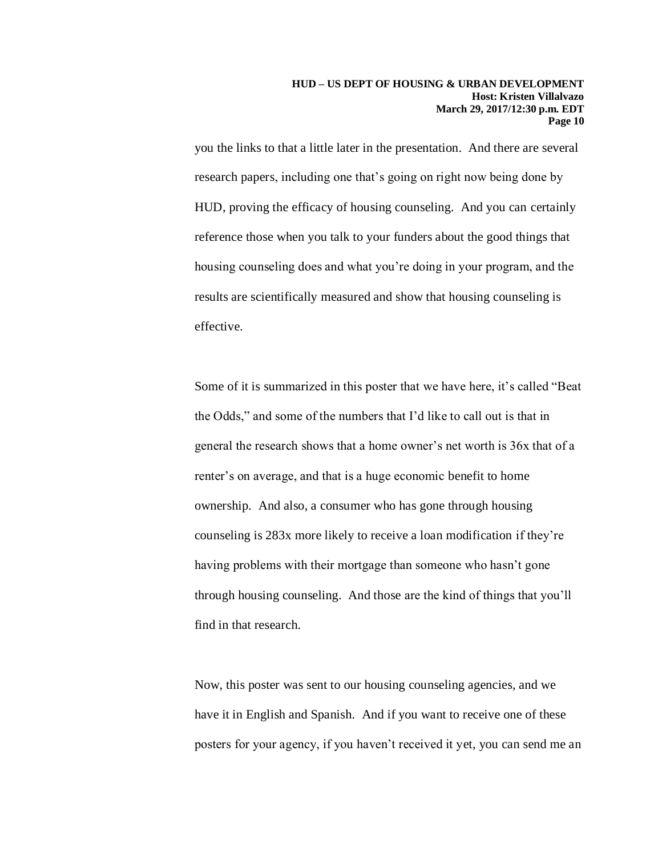you the links to that a little later in the presentation. And there are several research papers, including one that's going on right now being done by HUD, proving the efficacy of housing counseling. And you can certainly reference those when you talk to your funders about the good things that housing counseling does and what you're doing in your program, and the results are scientifically measured and show that housing counseling is effective.

Some of it is summarized in this poster that we have here, it's called "Beat the Odds," and some of the numbers that I'd like to call out is that in general the research shows that a home owner's net worth is 36x that of a renter's on average, and that is a huge economic benefit to home ownership. And also, a consumer who has gone through housing counseling is 283x more likely to receive a loan modification if they're having problems with their mortgage than someone who hasn't gone through housing counseling. And those are the kind of things that you'll find in that research.

Now, this poster was sent to our housing counseling agencies, and we have it in English and Spanish. And if you want to receive one of these posters for your agency, if you haven't received it yet, you can send me an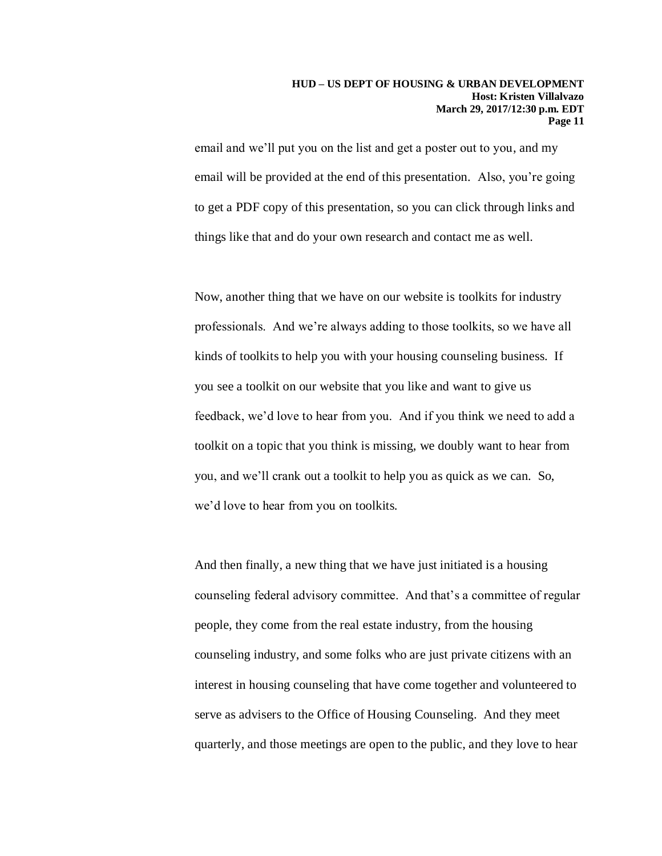email and we'll put you on the list and get a poster out to you, and my email will be provided at the end of this presentation. Also, you're going to get a PDF copy of this presentation, so you can click through links and things like that and do your own research and contact me as well.

Now, another thing that we have on our website is toolkits for industry professionals. And we're always adding to those toolkits, so we have all kinds of toolkits to help you with your housing counseling business. If you see a toolkit on our website that you like and want to give us feedback, we'd love to hear from you. And if you think we need to add a toolkit on a topic that you think is missing, we doubly want to hear from you, and we'll crank out a toolkit to help you as quick as we can. So, we'd love to hear from you on toolkits.

And then finally, a new thing that we have just initiated is a housing counseling federal advisory committee. And that's a committee of regular people, they come from the real estate industry, from the housing counseling industry, and some folks who are just private citizens with an interest in housing counseling that have come together and volunteered to serve as advisers to the Office of Housing Counseling. And they meet quarterly, and those meetings are open to the public, and they love to hear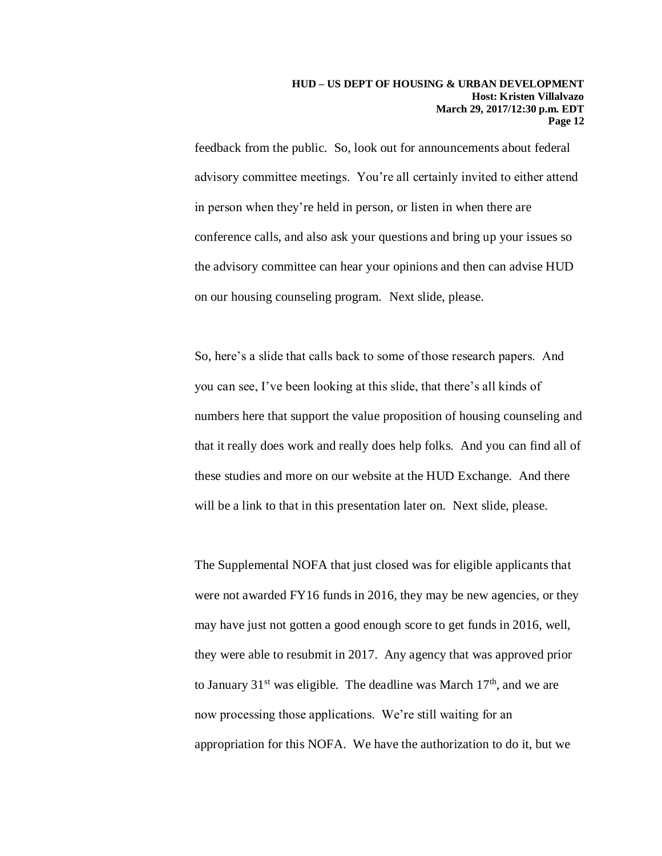feedback from the public. So, look out for announcements about federal advisory committee meetings. You're all certainly invited to either attend in person when they're held in person, or listen in when there are conference calls, and also ask your questions and bring up your issues so the advisory committee can hear your opinions and then can advise HUD on our housing counseling program. Next slide, please.

So, here's a slide that calls back to some of those research papers. And you can see, I've been looking at this slide, that there's all kinds of numbers here that support the value proposition of housing counseling and that it really does work and really does help folks. And you can find all of these studies and more on our website at the HUD Exchange. And there will be a link to that in this presentation later on. Next slide, please.

The Supplemental NOFA that just closed was for eligible applicants that were not awarded FY16 funds in 2016, they may be new agencies, or they may have just not gotten a good enough score to get funds in 2016, well, they were able to resubmit in 2017. Any agency that was approved prior to January  $31<sup>st</sup>$  was eligible. The deadline was March  $17<sup>th</sup>$ , and we are now processing those applications. We're still waiting for an appropriation for this NOFA. We have the authorization to do it, but we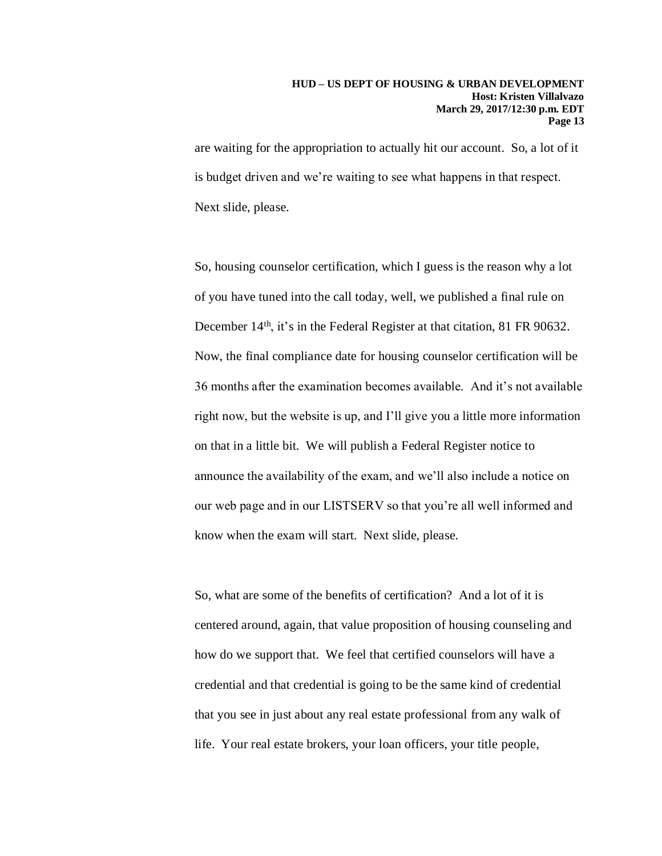are waiting for the appropriation to actually hit our account. So, a lot of it is budget driven and we're waiting to see what happens in that respect. Next slide, please.

So, housing counselor certification, which I guess is the reason why a lot of you have tuned into the call today, well, we published a final rule on December 14<sup>th</sup>, it's in the Federal Register at that citation, 81 FR 90632. Now, the final compliance date for housing counselor certification will be 36 months after the examination becomes available. And it's not available right now, but the website is up, and I'll give you a little more information on that in a little bit. We will publish a Federal Register notice to announce the availability of the exam, and we'll also include a notice on our web page and in our LISTSERV so that you're all well informed and know when the exam will start. Next slide, please.

So, what are some of the benefits of certification? And a lot of it is centered around, again, that value proposition of housing counseling and how do we support that. We feel that certified counselors will have a credential and that credential is going to be the same kind of credential that you see in just about any real estate professional from any walk of life. Your real estate brokers, your loan officers, your title people,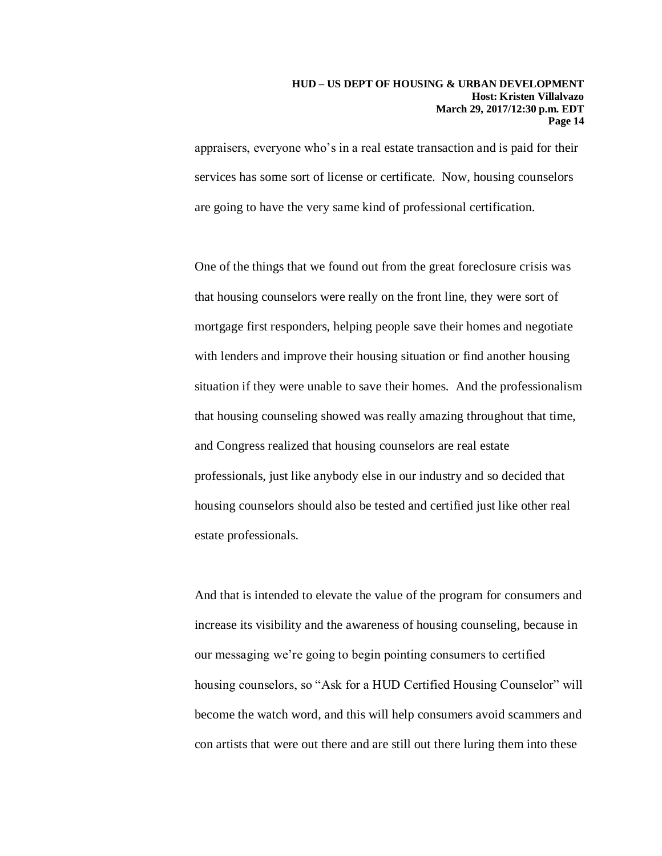appraisers, everyone who's in a real estate transaction and is paid for their services has some sort of license or certificate. Now, housing counselors are going to have the very same kind of professional certification.

One of the things that we found out from the great foreclosure crisis was that housing counselors were really on the front line, they were sort of mortgage first responders, helping people save their homes and negotiate with lenders and improve their housing situation or find another housing situation if they were unable to save their homes. And the professionalism that housing counseling showed was really amazing throughout that time, and Congress realized that housing counselors are real estate professionals, just like anybody else in our industry and so decided that housing counselors should also be tested and certified just like other real estate professionals.

And that is intended to elevate the value of the program for consumers and increase its visibility and the awareness of housing counseling, because in our messaging we're going to begin pointing consumers to certified housing counselors, so "Ask for a HUD Certified Housing Counselor" will become the watch word, and this will help consumers avoid scammers and con artists that were out there and are still out there luring them into these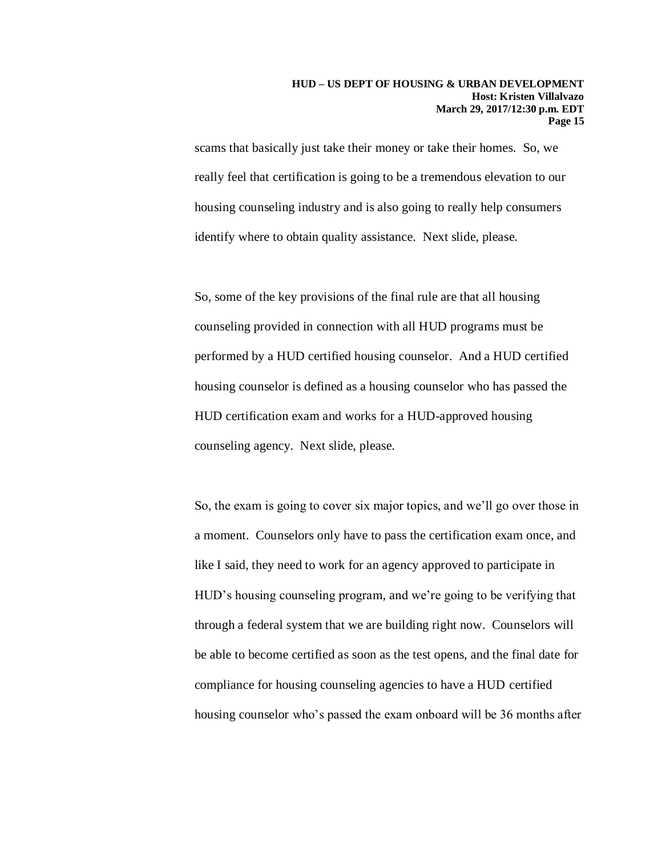scams that basically just take their money or take their homes. So, we really feel that certification is going to be a tremendous elevation to our housing counseling industry and is also going to really help consumers identify where to obtain quality assistance. Next slide, please.

So, some of the key provisions of the final rule are that all housing counseling provided in connection with all HUD programs must be performed by a HUD certified housing counselor. And a HUD certified housing counselor is defined as a housing counselor who has passed the HUD certification exam and works for a HUD-approved housing counseling agency. Next slide, please.

So, the exam is going to cover six major topics, and we'll go over those in a moment. Counselors only have to pass the certification exam once, and like I said, they need to work for an agency approved to participate in HUD's housing counseling program, and we're going to be verifying that through a federal system that we are building right now. Counselors will be able to become certified as soon as the test opens, and the final date for compliance for housing counseling agencies to have a HUD certified housing counselor who's passed the exam onboard will be 36 months after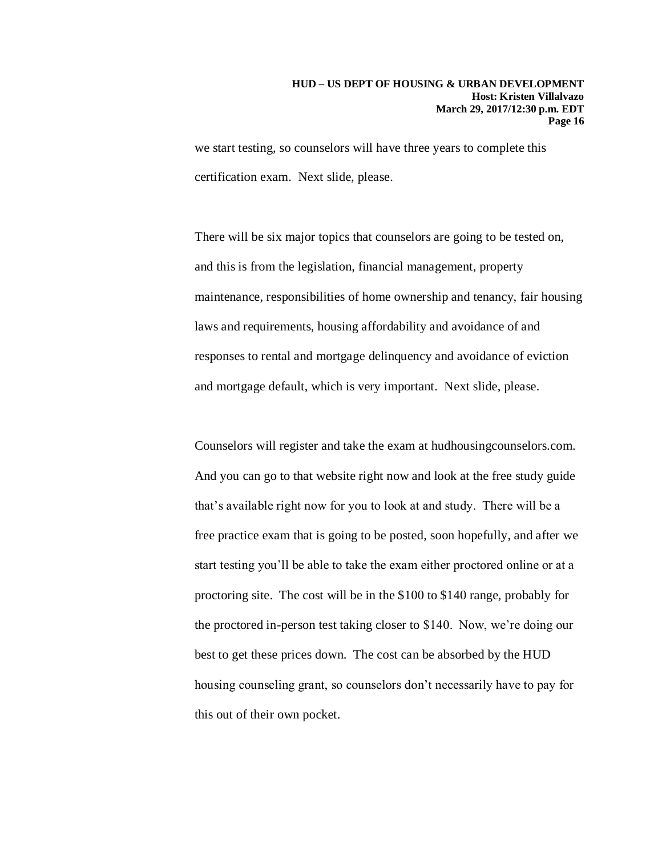we start testing, so counselors will have three years to complete this certification exam. Next slide, please.

There will be six major topics that counselors are going to be tested on, and this is from the legislation, financial management, property maintenance, responsibilities of home ownership and tenancy, fair housing laws and requirements, housing affordability and avoidance of and responses to rental and mortgage delinquency and avoidance of eviction and mortgage default, which is very important. Next slide, please.

Counselors will register and take the exam at hudhousingcounselors.com. And you can go to that website right now and look at the free study guide that's available right now for you to look at and study. There will be a free practice exam that is going to be posted, soon hopefully, and after we start testing you'll be able to take the exam either proctored online or at a proctoring site. The cost will be in the \$100 to \$140 range, probably for the proctored in-person test taking closer to \$140. Now, we're doing our best to get these prices down. The cost can be absorbed by the HUD housing counseling grant, so counselors don't necessarily have to pay for this out of their own pocket.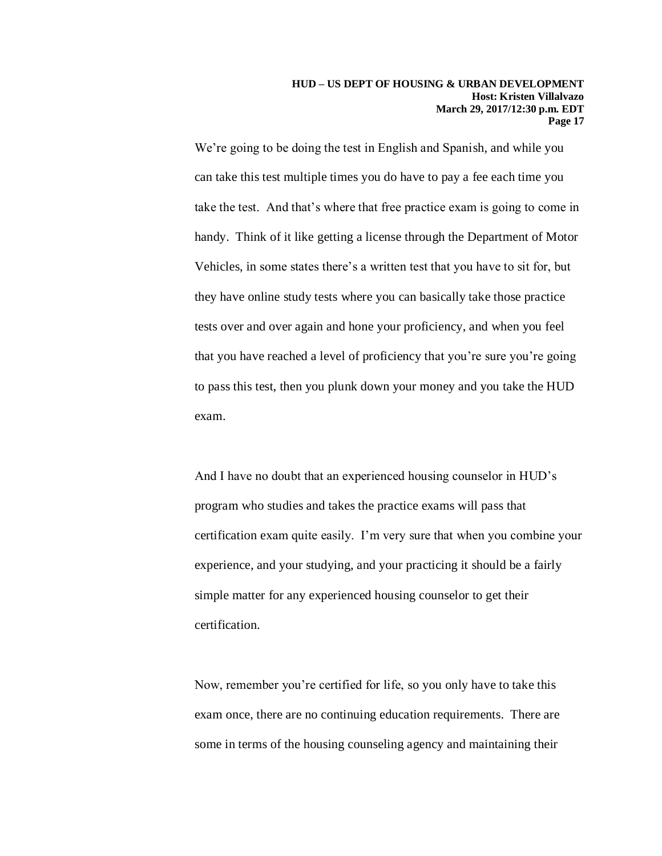We're going to be doing the test in English and Spanish, and while you can take this test multiple times you do have to pay a fee each time you take the test. And that's where that free practice exam is going to come in handy. Think of it like getting a license through the Department of Motor Vehicles, in some states there's a written test that you have to sit for, but they have online study tests where you can basically take those practice tests over and over again and hone your proficiency, and when you feel that you have reached a level of proficiency that you're sure you're going to pass this test, then you plunk down your money and you take the HUD exam.

And I have no doubt that an experienced housing counselor in HUD's program who studies and takes the practice exams will pass that certification exam quite easily. I'm very sure that when you combine your experience, and your studying, and your practicing it should be a fairly simple matter for any experienced housing counselor to get their certification.

Now, remember you're certified for life, so you only have to take this exam once, there are no continuing education requirements. There are some in terms of the housing counseling agency and maintaining their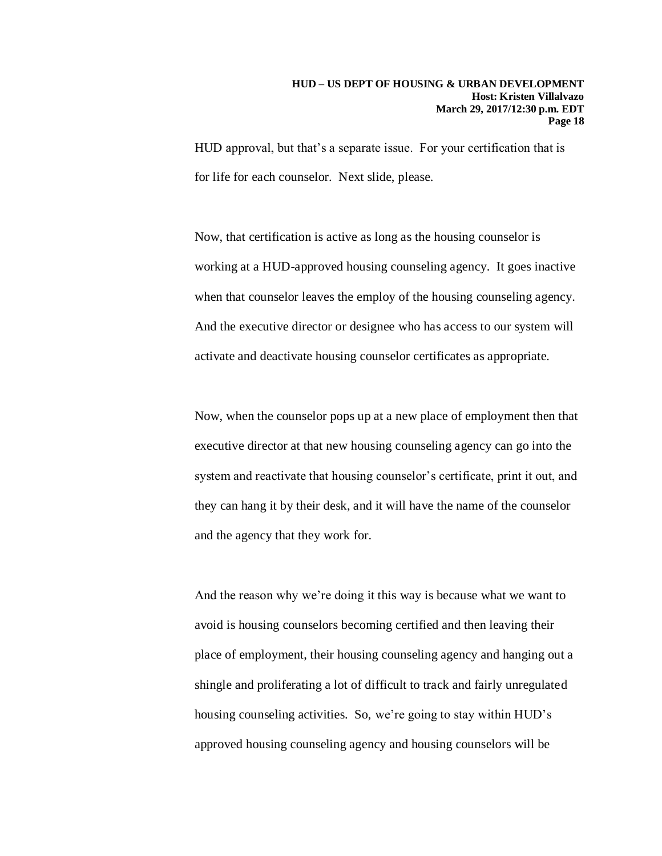HUD approval, but that's a separate issue. For your certification that is for life for each counselor. Next slide, please.

Now, that certification is active as long as the housing counselor is working at a HUD-approved housing counseling agency. It goes inactive when that counselor leaves the employ of the housing counseling agency. And the executive director or designee who has access to our system will activate and deactivate housing counselor certificates as appropriate.

Now, when the counselor pops up at a new place of employment then that executive director at that new housing counseling agency can go into the system and reactivate that housing counselor's certificate, print it out, and they can hang it by their desk, and it will have the name of the counselor and the agency that they work for.

And the reason why we're doing it this way is because what we want to avoid is housing counselors becoming certified and then leaving their place of employment, their housing counseling agency and hanging out a shingle and proliferating a lot of difficult to track and fairly unregulated housing counseling activities. So, we're going to stay within HUD's approved housing counseling agency and housing counselors will be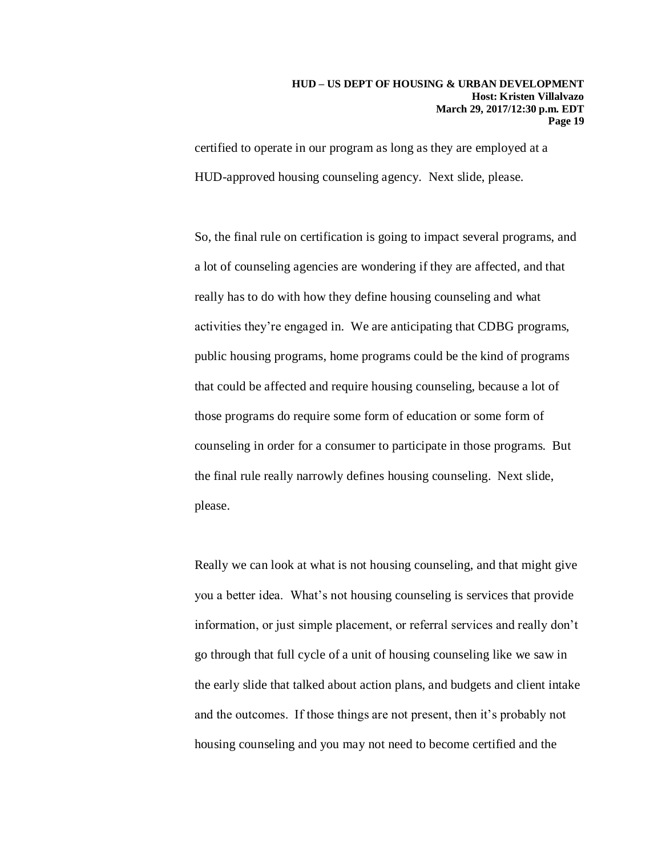certified to operate in our program as long as they are employed at a HUD-approved housing counseling agency. Next slide, please.

So, the final rule on certification is going to impact several programs, and a lot of counseling agencies are wondering if they are affected, and that really has to do with how they define housing counseling and what activities they're engaged in. We are anticipating that CDBG programs, public housing programs, home programs could be the kind of programs that could be affected and require housing counseling, because a lot of those programs do require some form of education or some form of counseling in order for a consumer to participate in those programs. But the final rule really narrowly defines housing counseling. Next slide, please.

Really we can look at what is not housing counseling, and that might give you a better idea. What's not housing counseling is services that provide information, or just simple placement, or referral services and really don't go through that full cycle of a unit of housing counseling like we saw in the early slide that talked about action plans, and budgets and client intake and the outcomes. If those things are not present, then it's probably not housing counseling and you may not need to become certified and the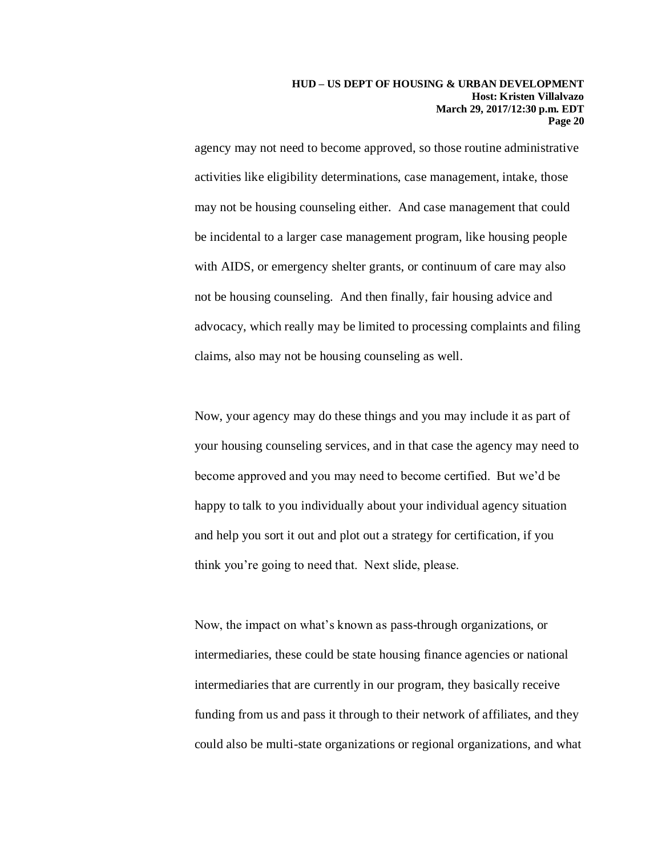agency may not need to become approved, so those routine administrative activities like eligibility determinations, case management, intake, those may not be housing counseling either. And case management that could be incidental to a larger case management program, like housing people with AIDS, or emergency shelter grants, or continuum of care may also not be housing counseling. And then finally, fair housing advice and advocacy, which really may be limited to processing complaints and filing claims, also may not be housing counseling as well.

Now, your agency may do these things and you may include it as part of your housing counseling services, and in that case the agency may need to become approved and you may need to become certified. But we'd be happy to talk to you individually about your individual agency situation and help you sort it out and plot out a strategy for certification, if you think you're going to need that. Next slide, please.

Now, the impact on what's known as pass-through organizations, or intermediaries, these could be state housing finance agencies or national intermediaries that are currently in our program, they basically receive funding from us and pass it through to their network of affiliates, and they could also be multi-state organizations or regional organizations, and what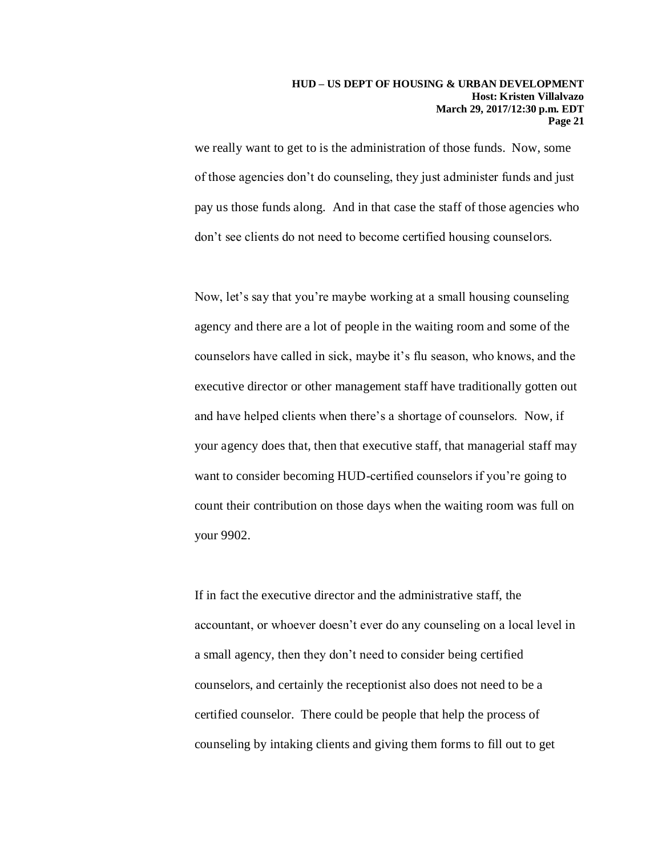we really want to get to is the administration of those funds. Now, some of those agencies don't do counseling, they just administer funds and just pay us those funds along. And in that case the staff of those agencies who don't see clients do not need to become certified housing counselors.

Now, let's say that you're maybe working at a small housing counseling agency and there are a lot of people in the waiting room and some of the counselors have called in sick, maybe it's flu season, who knows, and the executive director or other management staff have traditionally gotten out and have helped clients when there's a shortage of counselors. Now, if your agency does that, then that executive staff, that managerial staff may want to consider becoming HUD-certified counselors if you're going to count their contribution on those days when the waiting room was full on your 9902.

If in fact the executive director and the administrative staff, the accountant, or whoever doesn't ever do any counseling on a local level in a small agency, then they don't need to consider being certified counselors, and certainly the receptionist also does not need to be a certified counselor. There could be people that help the process of counseling by intaking clients and giving them forms to fill out to get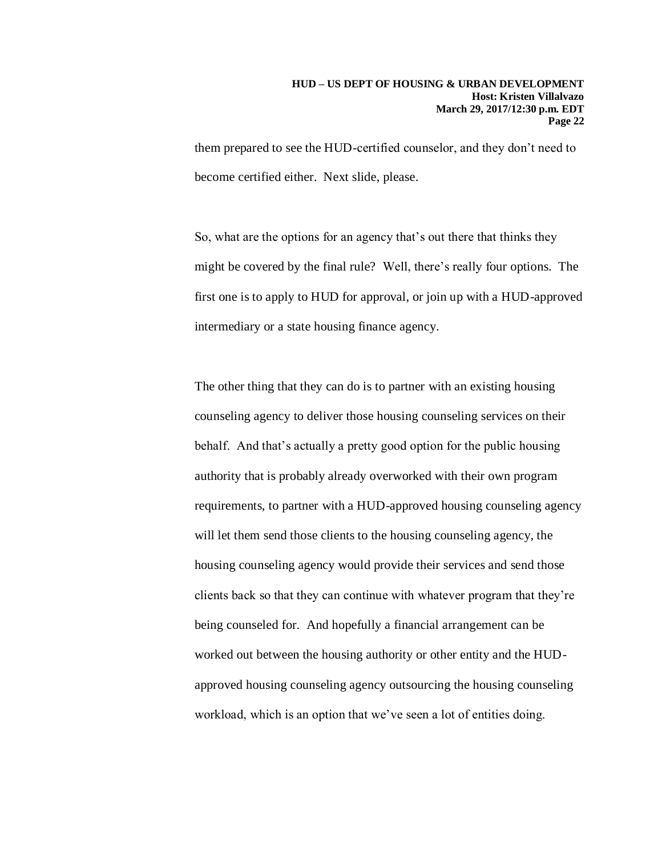them prepared to see the HUD-certified counselor, and they don't need to become certified either. Next slide, please.

So, what are the options for an agency that's out there that thinks they might be covered by the final rule? Well, there's really four options. The first one is to apply to HUD for approval, or join up with a HUD-approved intermediary or a state housing finance agency.

The other thing that they can do is to partner with an existing housing counseling agency to deliver those housing counseling services on their behalf. And that's actually a pretty good option for the public housing authority that is probably already overworked with their own program requirements, to partner with a HUD-approved housing counseling agency will let them send those clients to the housing counseling agency, the housing counseling agency would provide their services and send those clients back so that they can continue with whatever program that they're being counseled for. And hopefully a financial arrangement can be worked out between the housing authority or other entity and the HUDapproved housing counseling agency outsourcing the housing counseling workload, which is an option that we've seen a lot of entities doing.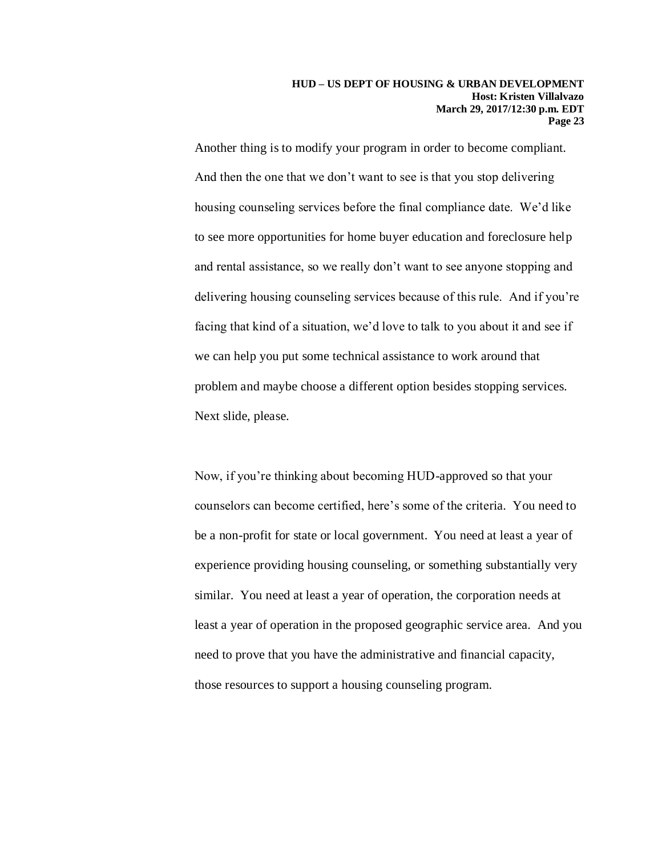Another thing is to modify your program in order to become compliant. And then the one that we don't want to see is that you stop delivering housing counseling services before the final compliance date. We'd like to see more opportunities for home buyer education and foreclosure help and rental assistance, so we really don't want to see anyone stopping and delivering housing counseling services because of this rule. And if you're facing that kind of a situation, we'd love to talk to you about it and see if we can help you put some technical assistance to work around that problem and maybe choose a different option besides stopping services. Next slide, please.

Now, if you're thinking about becoming HUD-approved so that your counselors can become certified, here's some of the criteria. You need to be a non-profit for state or local government. You need at least a year of experience providing housing counseling, or something substantially very similar. You need at least a year of operation, the corporation needs at least a year of operation in the proposed geographic service area. And you need to prove that you have the administrative and financial capacity, those resources to support a housing counseling program.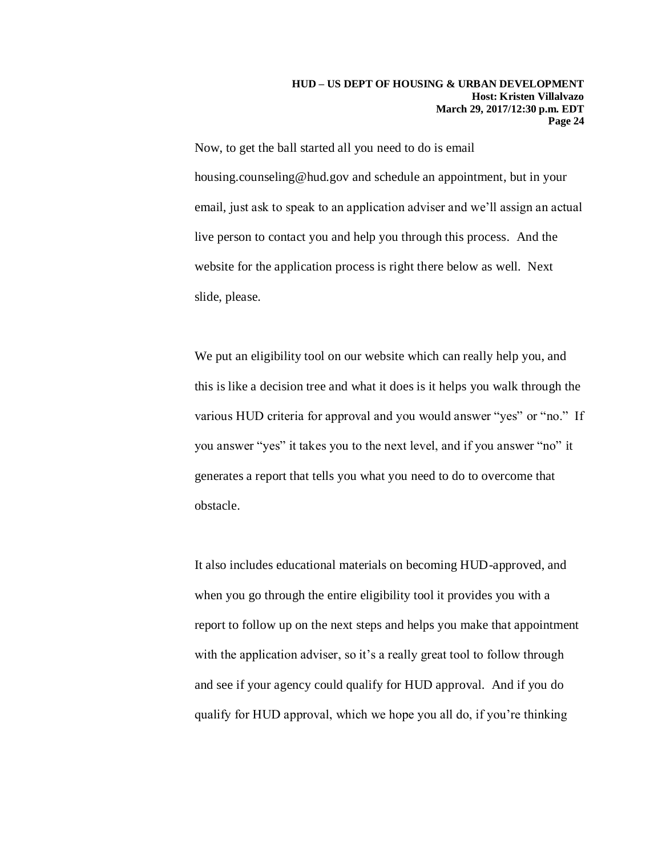Now, to get the ball started all you need to do is email housing.counseling@hud.gov and schedule an appointment, but in your email, just ask to speak to an application adviser and we'll assign an actual live person to contact you and help you through this process. And the website for the application process is right there below as well. Next slide, please.

We put an eligibility tool on our website which can really help you, and this is like a decision tree and what it does is it helps you walk through the various HUD criteria for approval and you would answer "yes" or "no." If you answer "yes" it takes you to the next level, and if you answer "no" it generates a report that tells you what you need to do to overcome that obstacle.

It also includes educational materials on becoming HUD-approved, and when you go through the entire eligibility tool it provides you with a report to follow up on the next steps and helps you make that appointment with the application adviser, so it's a really great tool to follow through and see if your agency could qualify for HUD approval. And if you do qualify for HUD approval, which we hope you all do, if you're thinking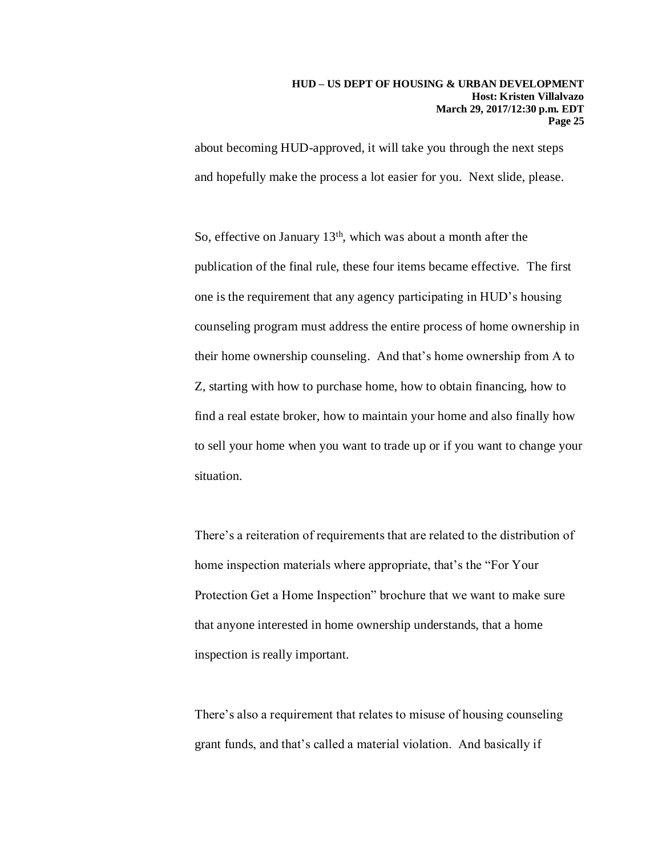about becoming HUD-approved, it will take you through the next steps and hopefully make the process a lot easier for you. Next slide, please.

So, effective on January 13th, which was about a month after the publication of the final rule, these four items became effective. The first one is the requirement that any agency participating in HUD's housing counseling program must address the entire process of home ownership in their home ownership counseling. And that's home ownership from A to Z, starting with how to purchase home, how to obtain financing, how to find a real estate broker, how to maintain your home and also finally how to sell your home when you want to trade up or if you want to change your situation.

There's a reiteration of requirements that are related to the distribution of home inspection materials where appropriate, that's the "For Your Protection Get a Home Inspection" brochure that we want to make sure that anyone interested in home ownership understands, that a home inspection is really important.

There's also a requirement that relates to misuse of housing counseling grant funds, and that's called a material violation. And basically if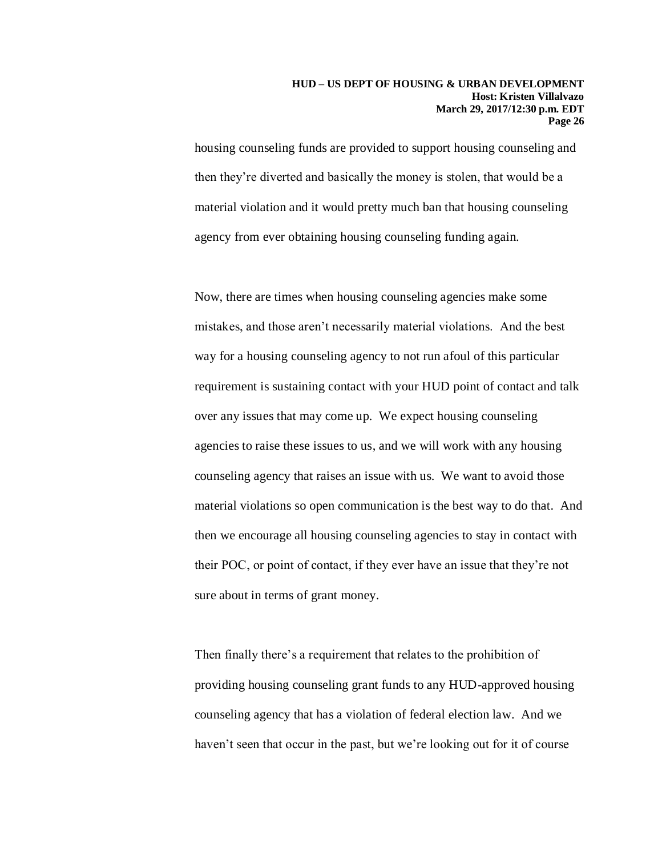housing counseling funds are provided to support housing counseling and then they're diverted and basically the money is stolen, that would be a material violation and it would pretty much ban that housing counseling agency from ever obtaining housing counseling funding again.

Now, there are times when housing counseling agencies make some mistakes, and those aren't necessarily material violations. And the best way for a housing counseling agency to not run afoul of this particular requirement is sustaining contact with your HUD point of contact and talk over any issues that may come up. We expect housing counseling agencies to raise these issues to us, and we will work with any housing counseling agency that raises an issue with us. We want to avoid those material violations so open communication is the best way to do that. And then we encourage all housing counseling agencies to stay in contact with their POC, or point of contact, if they ever have an issue that they're not sure about in terms of grant money.

Then finally there's a requirement that relates to the prohibition of providing housing counseling grant funds to any HUD-approved housing counseling agency that has a violation of federal election law. And we haven't seen that occur in the past, but we're looking out for it of course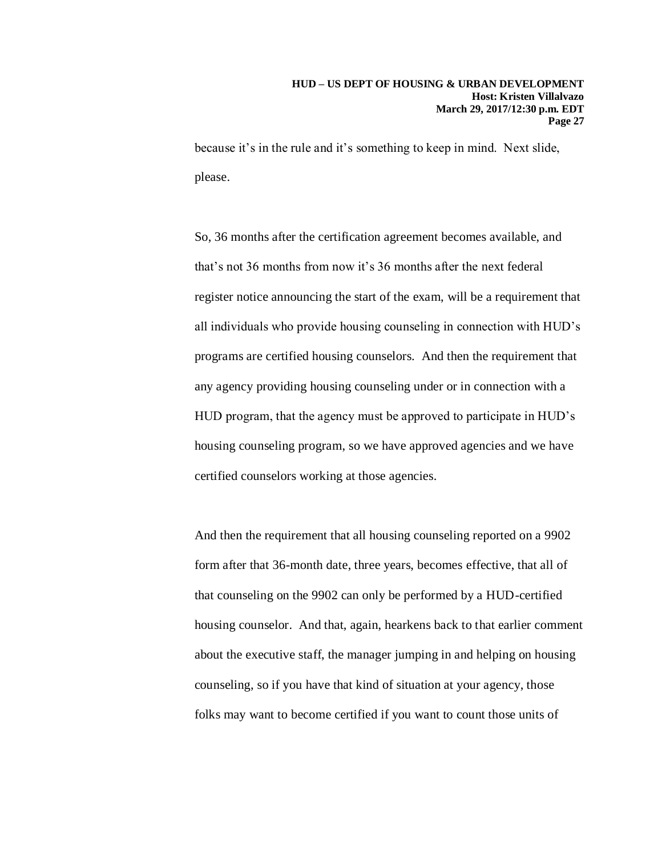because it's in the rule and it's something to keep in mind. Next slide, please.

So, 36 months after the certification agreement becomes available, and that's not 36 months from now it's 36 months after the next federal register notice announcing the start of the exam, will be a requirement that all individuals who provide housing counseling in connection with HUD's programs are certified housing counselors. And then the requirement that any agency providing housing counseling under or in connection with a HUD program, that the agency must be approved to participate in HUD's housing counseling program, so we have approved agencies and we have certified counselors working at those agencies.

And then the requirement that all housing counseling reported on a 9902 form after that 36-month date, three years, becomes effective, that all of that counseling on the 9902 can only be performed by a HUD-certified housing counselor. And that, again, hearkens back to that earlier comment about the executive staff, the manager jumping in and helping on housing counseling, so if you have that kind of situation at your agency, those folks may want to become certified if you want to count those units of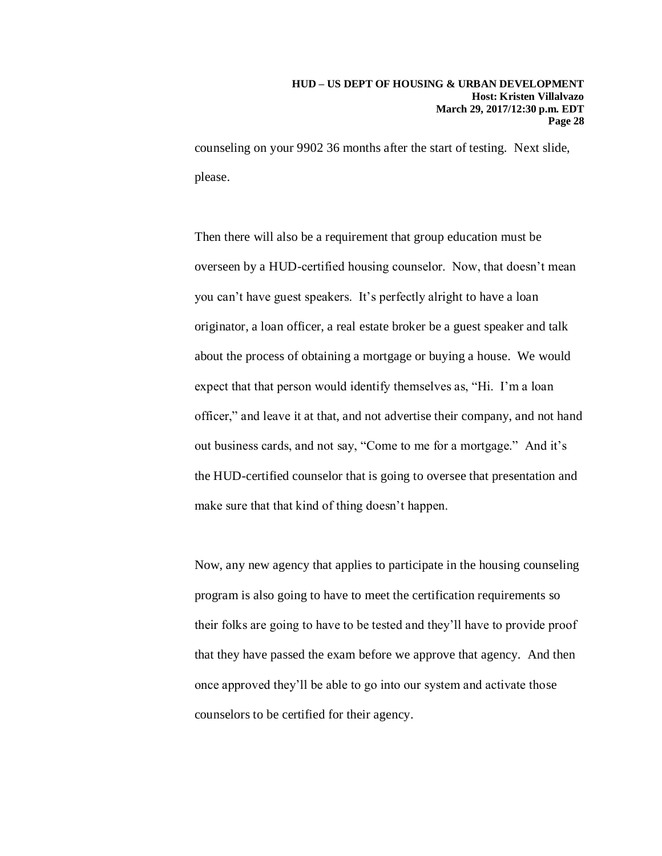counseling on your 9902 36 months after the start of testing. Next slide, please.

Then there will also be a requirement that group education must be overseen by a HUD-certified housing counselor. Now, that doesn't mean you can't have guest speakers. It's perfectly alright to have a loan originator, a loan officer, a real estate broker be a guest speaker and talk about the process of obtaining a mortgage or buying a house. We would expect that that person would identify themselves as, "Hi. I'm a loan officer," and leave it at that, and not advertise their company, and not hand out business cards, and not say, "Come to me for a mortgage." And it's the HUD-certified counselor that is going to oversee that presentation and make sure that that kind of thing doesn't happen.

Now, any new agency that applies to participate in the housing counseling program is also going to have to meet the certification requirements so their folks are going to have to be tested and they'll have to provide proof that they have passed the exam before we approve that agency. And then once approved they'll be able to go into our system and activate those counselors to be certified for their agency.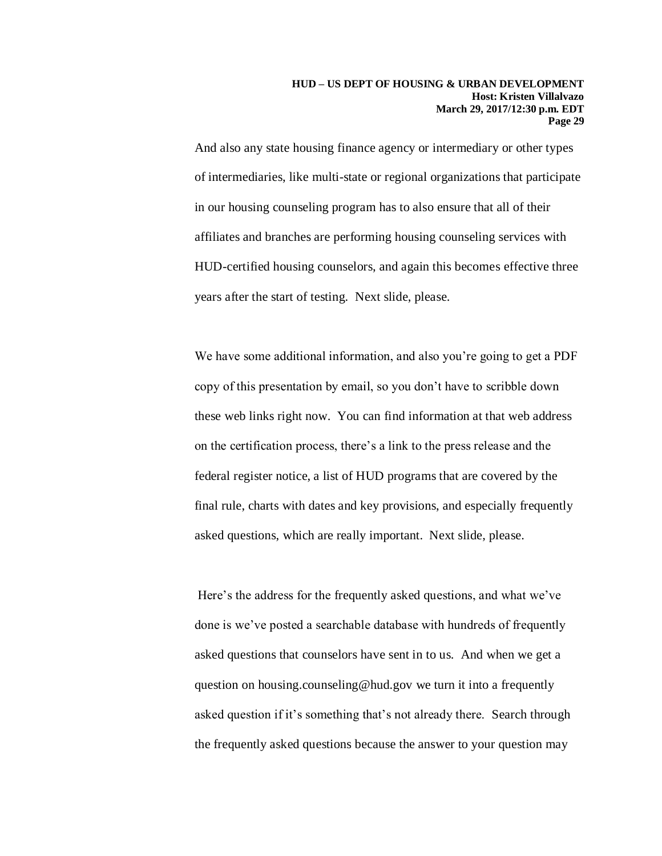And also any state housing finance agency or intermediary or other types of intermediaries, like multi-state or regional organizations that participate in our housing counseling program has to also ensure that all of their affiliates and branches are performing housing counseling services with HUD-certified housing counselors, and again this becomes effective three years after the start of testing. Next slide, please.

We have some additional information, and also you're going to get a PDF copy of this presentation by email, so you don't have to scribble down these web links right now. You can find information at that web address on the certification process, there's a link to the press release and the federal register notice, a list of HUD programs that are covered by the final rule, charts with dates and key provisions, and especially frequently asked questions, which are really important. Next slide, please.

Here's the address for the frequently asked questions, and what we've done is we've posted a searchable database with hundreds of frequently asked questions that counselors have sent in to us. And when we get a question on housing.counseling@hud.gov we turn it into a frequently asked question if it's something that's not already there. Search through the frequently asked questions because the answer to your question may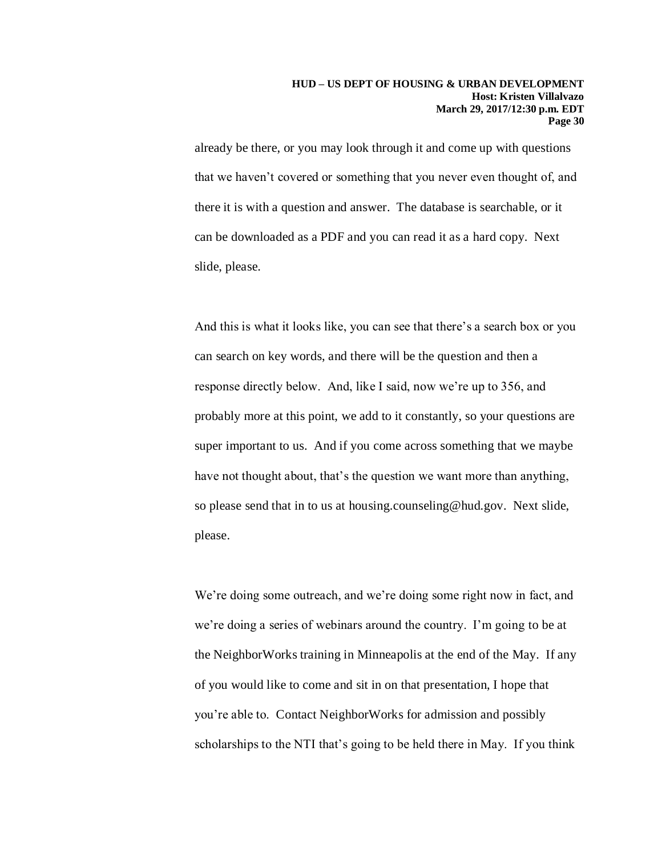already be there, or you may look through it and come up with questions that we haven't covered or something that you never even thought of, and there it is with a question and answer. The database is searchable, or it can be downloaded as a PDF and you can read it as a hard copy. Next slide, please.

And this is what it looks like, you can see that there's a search box or you can search on key words, and there will be the question and then a response directly below. And, like I said, now we're up to 356, and probably more at this point, we add to it constantly, so your questions are super important to us. And if you come across something that we maybe have not thought about, that's the question we want more than anything, so please send that in to us at housing.counseling@hud.gov. Next slide, please.

We're doing some outreach, and we're doing some right now in fact, and we're doing a series of webinars around the country. I'm going to be at the NeighborWorks training in Minneapolis at the end of the May. If any of you would like to come and sit in on that presentation, I hope that you're able to. Contact NeighborWorks for admission and possibly scholarships to the NTI that's going to be held there in May. If you think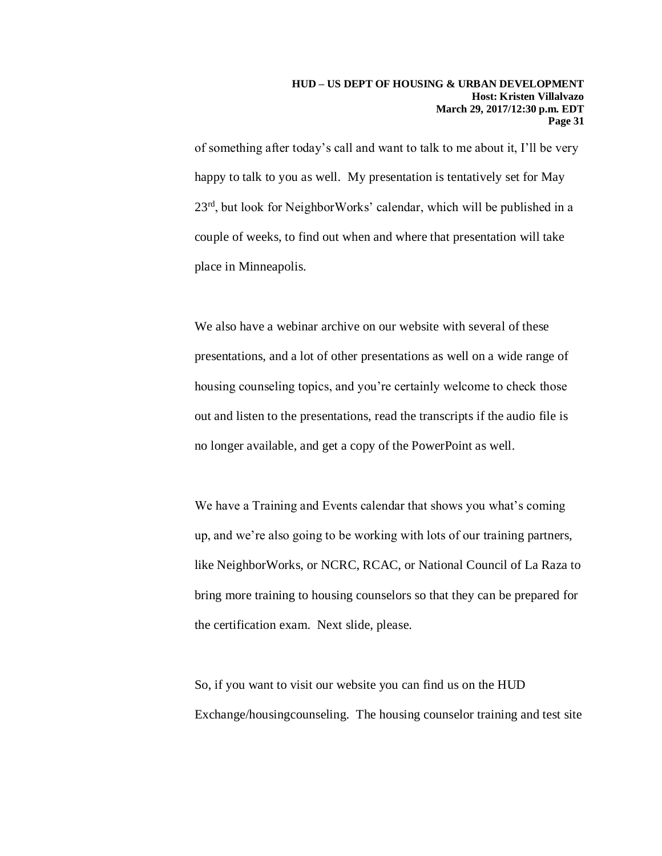of something after today's call and want to talk to me about it, I'll be very happy to talk to you as well. My presentation is tentatively set for May 23<sup>rd</sup>, but look for NeighborWorks' calendar, which will be published in a couple of weeks, to find out when and where that presentation will take place in Minneapolis.

We also have a webinar archive on our website with several of these presentations, and a lot of other presentations as well on a wide range of housing counseling topics, and you're certainly welcome to check those out and listen to the presentations, read the transcripts if the audio file is no longer available, and get a copy of the PowerPoint as well.

We have a Training and Events calendar that shows you what's coming up, and we're also going to be working with lots of our training partners, like NeighborWorks, or NCRC, RCAC, or National Council of La Raza to bring more training to housing counselors so that they can be prepared for the certification exam. Next slide, please.

So, if you want to visit our website you can find us on the HUD Exchange/housingcounseling. The housing counselor training and test site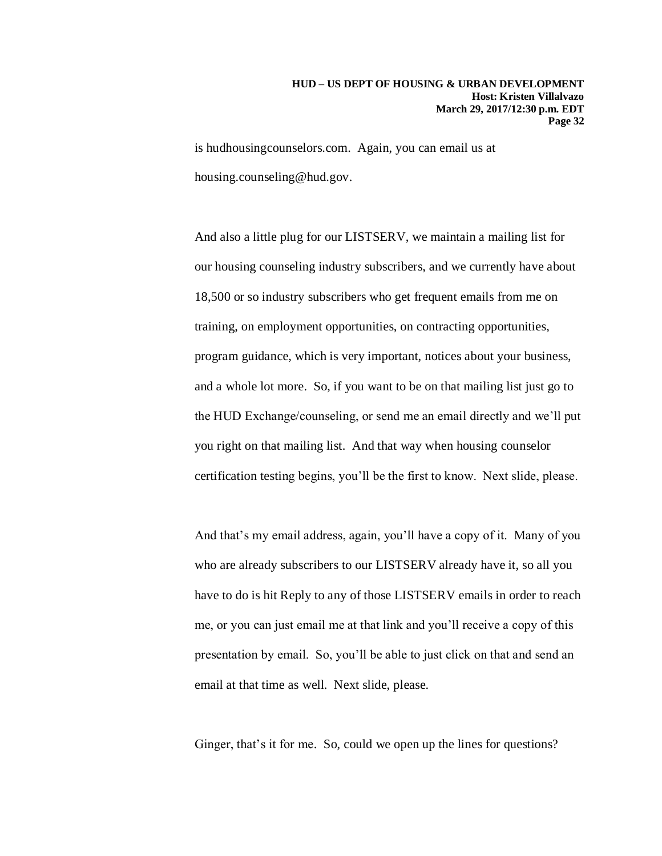is hudhousingcounselors.com. Again, you can email us at housing.counseling@hud.gov.

And also a little plug for our LISTSERV, we maintain a mailing list for our housing counseling industry subscribers, and we currently have about 18,500 or so industry subscribers who get frequent emails from me on training, on employment opportunities, on contracting opportunities, program guidance, which is very important, notices about your business, and a whole lot more. So, if you want to be on that mailing list just go to the HUD Exchange/counseling, or send me an email directly and we'll put you right on that mailing list. And that way when housing counselor certification testing begins, you'll be the first to know. Next slide, please.

And that's my email address, again, you'll have a copy of it. Many of you who are already subscribers to our LISTSERV already have it, so all you have to do is hit Reply to any of those LISTSERV emails in order to reach me, or you can just email me at that link and you'll receive a copy of this presentation by email. So, you'll be able to just click on that and send an email at that time as well. Next slide, please.

Ginger, that's it for me. So, could we open up the lines for questions?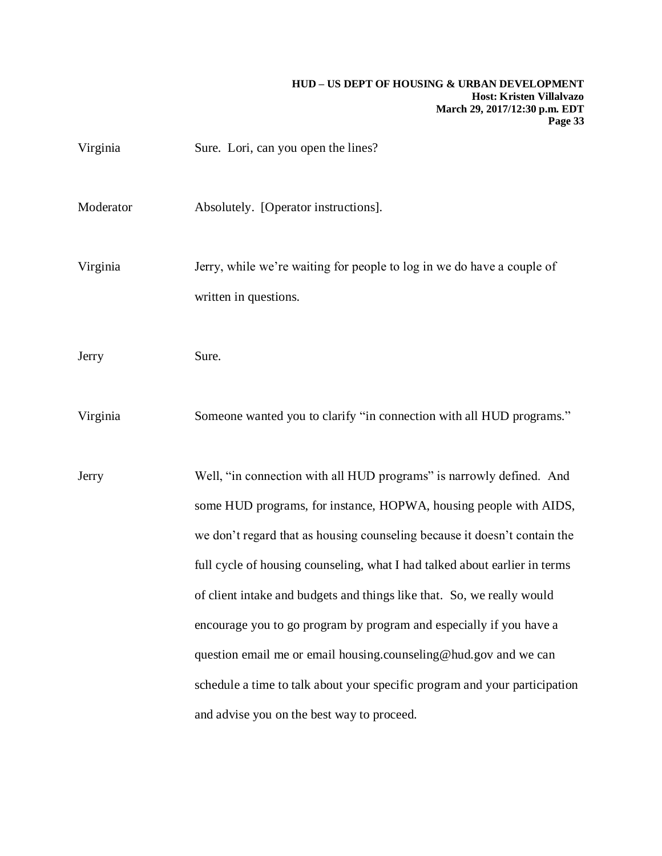| Virginia  | Sure. Lori, can you open the lines?                                                                                                                                                                                                                                                                                                                                                                                                                                                                                                                                                                                                                   |
|-----------|-------------------------------------------------------------------------------------------------------------------------------------------------------------------------------------------------------------------------------------------------------------------------------------------------------------------------------------------------------------------------------------------------------------------------------------------------------------------------------------------------------------------------------------------------------------------------------------------------------------------------------------------------------|
| Moderator | Absolutely. [Operator instructions].                                                                                                                                                                                                                                                                                                                                                                                                                                                                                                                                                                                                                  |
| Virginia  | Jerry, while we're waiting for people to log in we do have a couple of<br>written in questions.                                                                                                                                                                                                                                                                                                                                                                                                                                                                                                                                                       |
| Jerry     | Sure.                                                                                                                                                                                                                                                                                                                                                                                                                                                                                                                                                                                                                                                 |
| Virginia  | Someone wanted you to clarify "in connection with all HUD programs."                                                                                                                                                                                                                                                                                                                                                                                                                                                                                                                                                                                  |
| Jerry     | Well, "in connection with all HUD programs" is narrowly defined. And<br>some HUD programs, for instance, HOPWA, housing people with AIDS,<br>we don't regard that as housing counseling because it doesn't contain the<br>full cycle of housing counseling, what I had talked about earlier in terms<br>of client intake and budgets and things like that. So, we really would<br>encourage you to go program by program and especially if you have a<br>question email me or email housing.counseling@hud.gov and we can<br>schedule a time to talk about your specific program and your participation<br>and advise you on the best way to proceed. |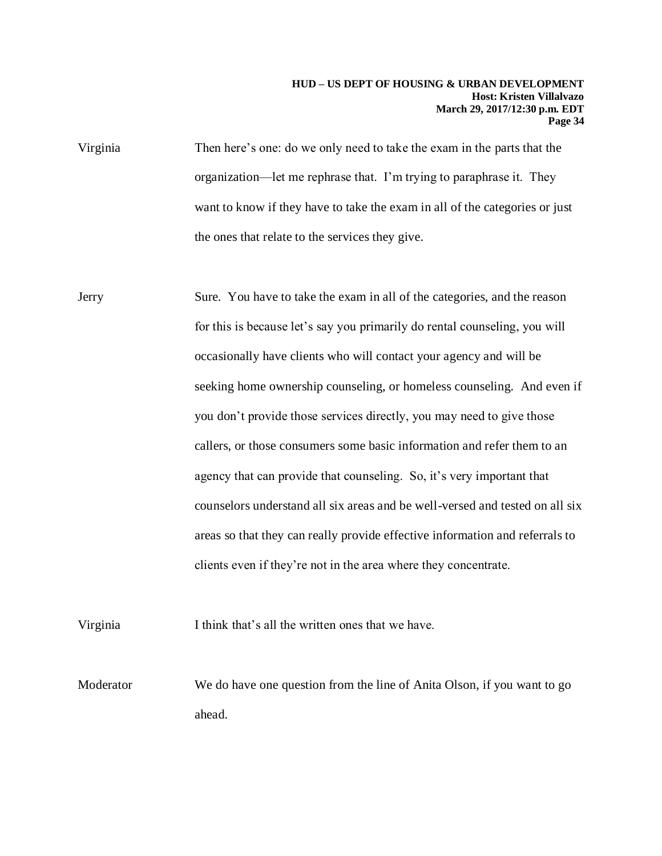Virginia Then here's one: do we only need to take the exam in the parts that the organization—let me rephrase that. I'm trying to paraphrase it. They want to know if they have to take the exam in all of the categories or just the ones that relate to the services they give.

Jerry Sure. You have to take the exam in all of the categories, and the reason for this is because let's say you primarily do rental counseling, you will occasionally have clients who will contact your agency and will be seeking home ownership counseling, or homeless counseling. And even if you don't provide those services directly, you may need to give those callers, or those consumers some basic information and refer them to an agency that can provide that counseling. So, it's very important that counselors understand all six areas and be well-versed and tested on all six areas so that they can really provide effective information and referrals to clients even if they're not in the area where they concentrate.

Virginia I think that's all the written ones that we have.

Moderator We do have one question from the line of Anita Olson, if you want to go ahead.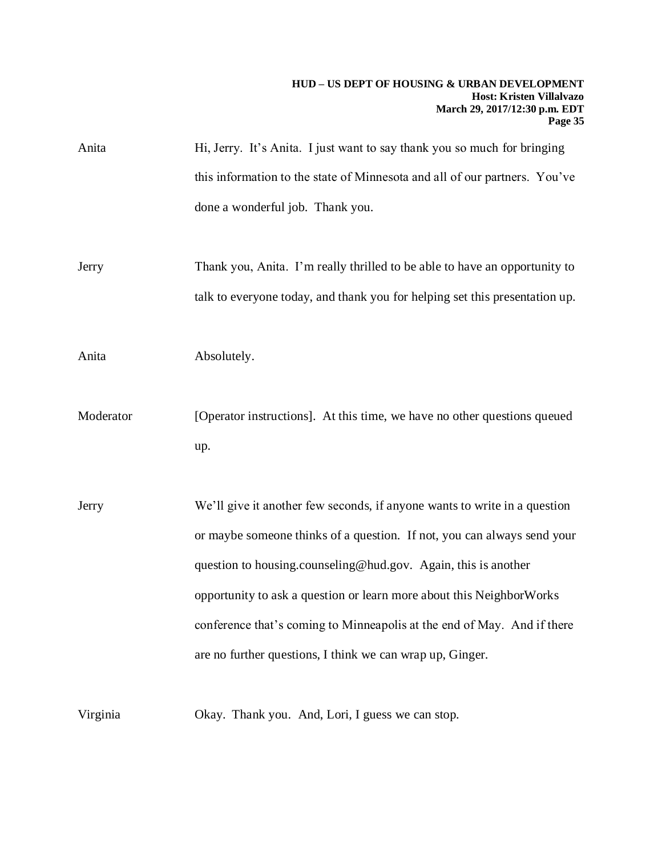| Anita     | Hi, Jerry. It's Anita. I just want to say thank you so much for bringing    |
|-----------|-----------------------------------------------------------------------------|
|           | this information to the state of Minnesota and all of our partners. You've  |
|           | done a wonderful job. Thank you.                                            |
|           |                                                                             |
| Jerry     | Thank you, Anita. I'm really thrilled to be able to have an opportunity to  |
|           | talk to everyone today, and thank you for helping set this presentation up. |
| Anita     | Absolutely.                                                                 |
|           |                                                                             |
| Moderator | [Operator instructions]. At this time, we have no other questions queued    |
|           | up.                                                                         |
| Jerry     | We'll give it another few seconds, if anyone wants to write in a question   |
|           |                                                                             |
|           | or maybe someone thinks of a question. If not, you can always send your     |
|           | question to housing.counseling@hud.gov. Again, this is another              |
|           | opportunity to ask a question or learn more about this NeighborWorks        |
|           | conference that's coming to Minneapolis at the end of May. And if there     |
|           | are no further questions, I think we can wrap up, Ginger.                   |
| Virginia  | Okay. Thank you. And, Lori, I guess we can stop.                            |